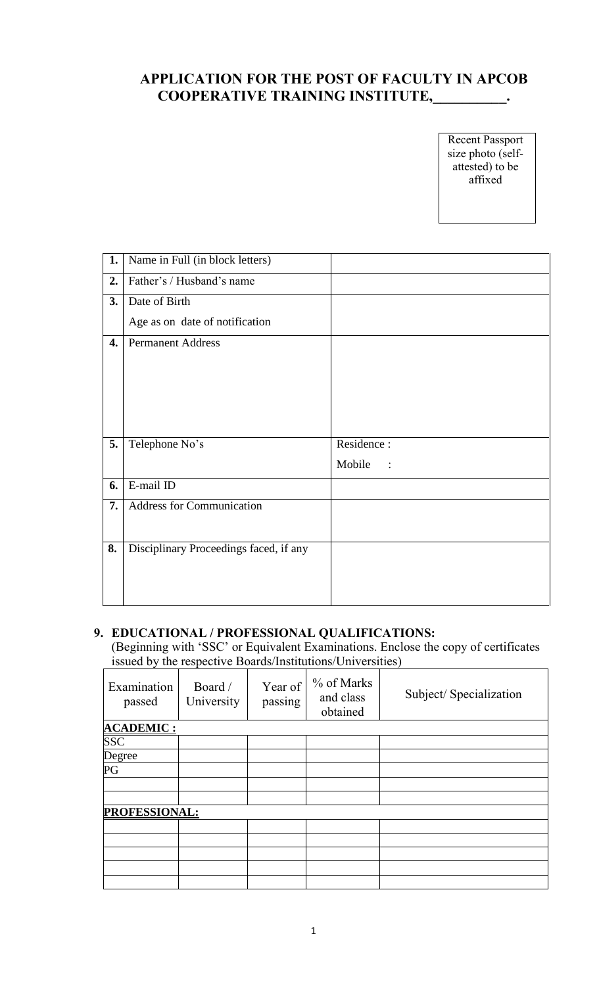# **APPLICATION FOR THE POST OF FACULTY IN APCOB COOPERATIVE TRAINING INSTITUTE,\_\_\_\_\_\_\_\_\_\_.**

Recent Passport size photo (selfattested) to be affixed

| 1. | Name in Full (in block letters)        |            |
|----|----------------------------------------|------------|
| 2. | Father's / Husband's name              |            |
| 3. | Date of Birth                          |            |
|    | Age as on date of notification         |            |
| 4. | <b>Permanent Address</b>               |            |
|    |                                        |            |
|    |                                        |            |
|    |                                        |            |
| 5. | Telephone No's                         | Residence: |
|    |                                        | Mobile     |
| 6. | E-mail ID                              |            |
| 7. | Address for Communication              |            |
|    |                                        |            |
| 8. | Disciplinary Proceedings faced, if any |            |
|    |                                        |            |
|    |                                        |            |

## **9. EDUCATIONAL / PROFESSIONAL QUALIFICATIONS:**

(Beginning with 'SSC' or Equivalent Examinations. Enclose the copy of certificates issued by the respective Boards/Institutions/Universities)

| Examination<br>passed    | Board /<br>University | Year of<br>passing | % of Marks<br>and class<br>obtained | Subject/Specialization |  |
|--------------------------|-----------------------|--------------------|-------------------------------------|------------------------|--|
| <b>ACADEMIC:</b>         |                       |                    |                                     |                        |  |
| SSC                      |                       |                    |                                     |                        |  |
| Degree                   |                       |                    |                                     |                        |  |
| $\overline{\mathrm{PG}}$ |                       |                    |                                     |                        |  |
|                          |                       |                    |                                     |                        |  |
|                          |                       |                    |                                     |                        |  |
| PROFESSIONAL:            |                       |                    |                                     |                        |  |
|                          |                       |                    |                                     |                        |  |
|                          |                       |                    |                                     |                        |  |
|                          |                       |                    |                                     |                        |  |
|                          |                       |                    |                                     |                        |  |
|                          |                       |                    |                                     |                        |  |